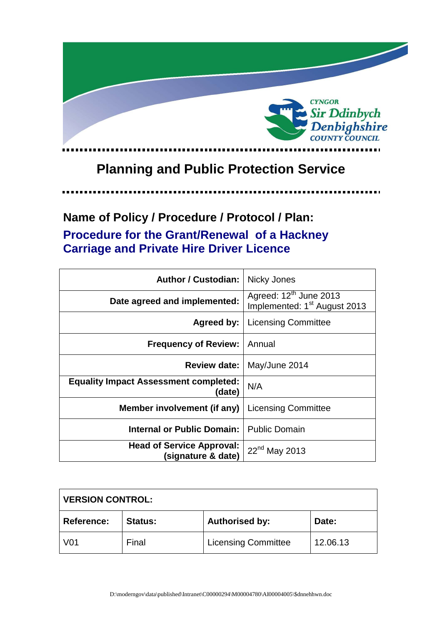

# **Planning and Public Protection Service**

. . . . . .

## **Name of Policy / Procedure / Protocol / Plan: Procedure for the Grant/Renewal of a Hackney Carriage and Private Hire Driver Licence**

| <b>Author / Custodian:</b>                             | Nicky Jones                                                                    |
|--------------------------------------------------------|--------------------------------------------------------------------------------|
| Date agreed and implemented:                           | Agreed: 12 <sup>th</sup> June 2013<br>Implemented: 1 <sup>st</sup> August 2013 |
| Agreed by:                                             | <b>Licensing Committee</b>                                                     |
| <b>Frequency of Review:</b>                            | Annual                                                                         |
| <b>Review date:</b>                                    | May/June 2014                                                                  |
| <b>Equality Impact Assessment completed:</b><br>(date) | N/A                                                                            |
| Member involvement (if any)                            | <b>Licensing Committee</b>                                                     |
| <b>Internal or Public Domain:</b>                      | <b>Public Domain</b>                                                           |
| <b>Head of Service Approval:</b><br>(signature & date) | 22 <sup>nd</sup> May 2013                                                      |

| <b>VERSION CONTROL:</b> |                |                            |          |
|-------------------------|----------------|----------------------------|----------|
| <b>Reference:</b>       | <b>Status:</b> | <b>Authorised by:</b>      | Date:    |
| <b>V01</b>              | Final          | <b>Licensing Committee</b> | 12.06.13 |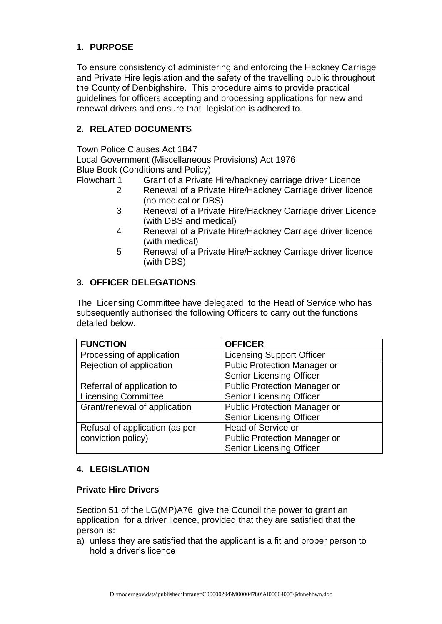## **1. PURPOSE**

To ensure consistency of administering and enforcing the Hackney Carriage and Private Hire legislation and the safety of the travelling public throughout the County of Denbighshire. This procedure aims to provide practical guidelines for officers accepting and processing applications for new and renewal drivers and ensure that legislation is adhered to.

## **2. RELATED DOCUMENTS**

Town Police Clauses Act 1847

Local Government (Miscellaneous Provisions) Act 1976 Blue Book (Conditions and Policy)

Flowchart 1 Grant of a Private Hire/hackney carriage driver Licence

- 2 Renewal of a Private Hire/Hackney Carriage driver licence (no medical or DBS)
- 3 Renewal of a Private Hire/Hackney Carriage driver Licence (with DBS and medical)
- 4 Renewal of a Private Hire/Hackney Carriage driver licence (with medical)
- 5 Renewal of a Private Hire/Hackney Carriage driver licence (with DBS)

## **3. OFFICER DELEGATIONS**

The Licensing Committee have delegated to the Head of Service who has subsequently authorised the following Officers to carry out the functions detailed below.

| <b>FUNCTION</b>                | <b>OFFICER</b>                      |
|--------------------------------|-------------------------------------|
| Processing of application      | <b>Licensing Support Officer</b>    |
| Rejection of application       | <b>Pubic Protection Manager or</b>  |
|                                | <b>Senior Licensing Officer</b>     |
| Referral of application to     | <b>Public Protection Manager or</b> |
| <b>Licensing Committee</b>     | <b>Senior Licensing Officer</b>     |
| Grant/renewal of application   | <b>Public Protection Manager or</b> |
|                                | <b>Senior Licensing Officer</b>     |
| Refusal of application (as per | <b>Head of Service or</b>           |
| conviction policy)             | <b>Public Protection Manager or</b> |
|                                | <b>Senior Licensing Officer</b>     |

## **4. LEGISLATION**

#### **Private Hire Drivers**

Section 51 of the LG(MP)A76 give the Council the power to grant an application for a driver licence, provided that they are satisfied that the person is:

a) unless they are satisfied that the applicant is a fit and proper person to hold a driver's licence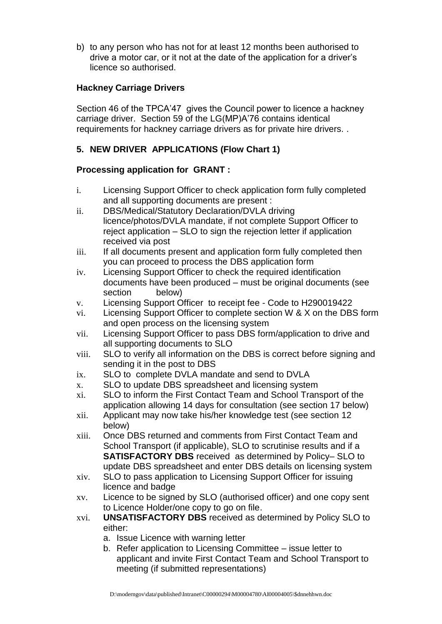b) to any person who has not for at least 12 months been authorised to drive a motor car, or it not at the date of the application for a driver's licence so authorised.

## **Hackney Carriage Drivers**

Section 46 of the TPCA'47 gives the Council power to licence a hackney carriage driver. Section 59 of the LG(MP)A'76 contains identical requirements for hackney carriage drivers as for private hire drivers. .

## **5. NEW DRIVER APPLICATIONS (Flow Chart 1)**

## **Processing application for GRANT :**

- i. Licensing Support Officer to check application form fully completed and all supporting documents are present :
- ii. DBS/Medical/Statutory Declaration/DVLA driving licence/photos/DVLA mandate, if not complete Support Officer to reject application – SLO to sign the rejection letter if application received via post
- iii. If all documents present and application form fully completed then you can proceed to process the DBS application form
- iv. Licensing Support Officer to check the required identification documents have been produced – must be original documents (see section below)
- v. Licensing Support Officer to receipt fee Code to H290019422
- vi. Licensing Support Officer to complete section W & X on the DBS form and open process on the licensing system
- vii. Licensing Support Officer to pass DBS form/application to drive and all supporting documents to SLO
- viii. SLO to verify all information on the DBS is correct before signing and sending it in the post to DBS
- ix. SLO to complete DVLA mandate and send to DVLA
- x. SLO to update DBS spreadsheet and licensing system
- xi. SLO to inform the First Contact Team and School Transport of the application allowing 14 days for consultation (see section 17 below)
- xii. Applicant may now take his/her knowledge test (see section 12 below)
- xiii. Once DBS returned and comments from First Contact Team and School Transport (if applicable), SLO to scrutinise results and if a **SATISFACTORY DBS** received as determined by Policy– SLO to update DBS spreadsheet and enter DBS details on licensing system
- xiv. SLO to pass application to Licensing Support Officer for issuing licence and badge
- xv. Licence to be signed by SLO (authorised officer) and one copy sent to Licence Holder/one copy to go on file.
- xvi. **UNSATISFACTORY DBS** received as determined by Policy SLO to either:
	- a. Issue Licence with warning letter
	- b. Refer application to Licensing Committee issue letter to applicant and invite First Contact Team and School Transport to meeting (if submitted representations)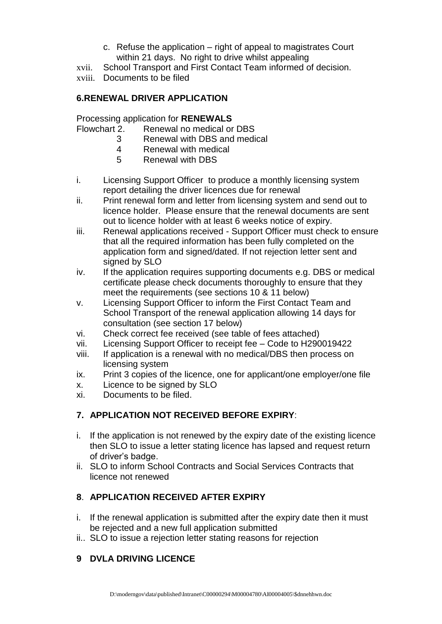- c. Refuse the application right of appeal to magistrates Court within 21 days. No right to drive whilst appealing
- xvii. School Transport and First Contact Team informed of decision.
- xviii. Documents to be filed

## **6.RENEWAL DRIVER APPLICATION**

Processing application for **RENEWALS**

Flowchart 2. Renewal no medical or DBS

- 3 Renewal with DBS and medical
	- 4 Renewal with medical
	- 5 Renewal with DBS
- i. Licensing Support Officer to produce a monthly licensing system report detailing the driver licences due for renewal
- ii. Print renewal form and letter from licensing system and send out to licence holder. Please ensure that the renewal documents are sent out to licence holder with at least 6 weeks notice of expiry.
- iii. Renewal applications received Support Officer must check to ensure that all the required information has been fully completed on the application form and signed/dated. If not rejection letter sent and signed by SLO
- iv. If the application requires supporting documents e.g. DBS or medical certificate please check documents thoroughly to ensure that they meet the requirements (see sections 10 & 11 below)
- v. Licensing Support Officer to inform the First Contact Team and School Transport of the renewal application allowing 14 days for consultation (see section 17 below)
- vi. Check correct fee received (see table of fees attached)
- vii. Licensing Support Officer to receipt fee Code to H290019422
- viii. If application is a renewal with no medical/DBS then process on licensing system
- ix. Print 3 copies of the licence, one for applicant/one employer/one file
- x. Licence to be signed by SLO
- xi. Documents to be filed.

## **7. APPLICATION NOT RECEIVED BEFORE EXPIRY**:

- i. If the application is not renewed by the expiry date of the existing licence then SLO to issue a letter stating licence has lapsed and request return of driver's badge.
- ii. SLO to inform School Contracts and Social Services Contracts that licence not renewed

## **8**. **APPLICATION RECEIVED AFTER EXPIRY**

- i. If the renewal application is submitted after the expiry date then it must be rejected and a new full application submitted
- ii.. SLO to issue a rejection letter stating reasons for rejection

## **9 DVLA DRIVING LICENCE**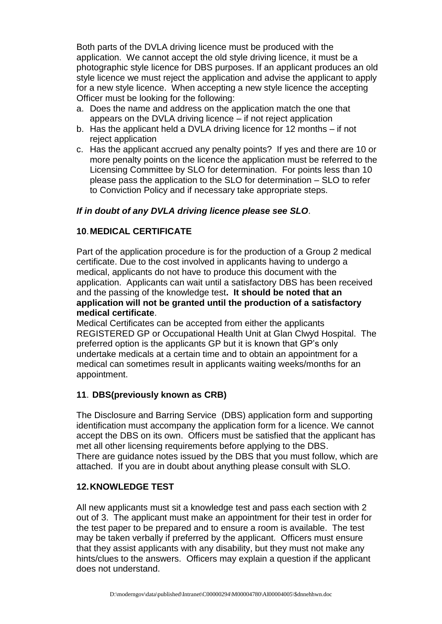Both parts of the DVLA driving licence must be produced with the application. We cannot accept the old style driving licence, it must be a photographic style licence for DBS purposes. If an applicant produces an old style licence we must reject the application and advise the applicant to apply for a new style licence. When accepting a new style licence the accepting Officer must be looking for the following:

- a. Does the name and address on the application match the one that appears on the DVLA driving licence – if not reject application
- b. Has the applicant held a DVLA driving licence for 12 months if not reject application
- c. Has the applicant accrued any penalty points? If yes and there are 10 or more penalty points on the licence the application must be referred to the Licensing Committee by SLO for determination. For points less than 10 please pass the application to the SLO for determination – SLO to refer to Conviction Policy and if necessary take appropriate steps.

## *If in doubt of any DVLA driving licence please see SLO*.

### **10**.**MEDICAL CERTIFICATE**

Part of the application procedure is for the production of a Group 2 medical certificate. Due to the cost involved in applicants having to undergo a medical, applicants do not have to produce this document with the application. Applicants can wait until a satisfactory DBS has been received and the passing of the knowledge test**. It should be noted that an application will not be granted until the production of a satisfactory medical certificate**.

Medical Certificates can be accepted from either the applicants REGISTERED GP or Occupational Health Unit at Glan Clwyd Hospital. The preferred option is the applicants GP but it is known that GP's only undertake medicals at a certain time and to obtain an appointment for a medical can sometimes result in applicants waiting weeks/months for an appointment.

#### **11**. **DBS(previously known as CRB)**

The Disclosure and Barring Service (DBS) application form and supporting identification must accompany the application form for a licence. We cannot accept the DBS on its own. Officers must be satisfied that the applicant has met all other licensing requirements before applying to the DBS. There are guidance notes issued by the DBS that you must follow, which are attached. If you are in doubt about anything please consult with SLO.

#### **12.KNOWLEDGE TEST**

All new applicants must sit a knowledge test and pass each section with 2 out of 3. The applicant must make an appointment for their test in order for the test paper to be prepared and to ensure a room is available. The test may be taken verbally if preferred by the applicant. Officers must ensure that they assist applicants with any disability, but they must not make any hints/clues to the answers. Officers may explain a question if the applicant does not understand.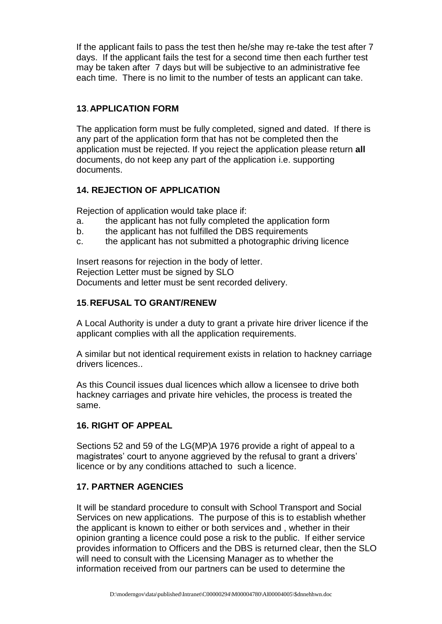If the applicant fails to pass the test then he/she may re-take the test after 7 days. If the applicant fails the test for a second time then each further test may be taken after 7 days but will be subjective to an administrative fee each time. There is no limit to the number of tests an applicant can take.

## **13**.**APPLICATION FORM**

The application form must be fully completed, signed and dated. If there is any part of the application form that has not be completed then the application must be rejected. If you reject the application please return **all**  documents, do not keep any part of the application i.e. supporting documents.

## **14. REJECTION OF APPLICATION**

Rejection of application would take place if:

- a. the applicant has not fully completed the application form
- b. the applicant has not fulfilled the DBS requirements
- c. the applicant has not submitted a photographic driving licence

Insert reasons for rejection in the body of letter. Rejection Letter must be signed by SLO Documents and letter must be sent recorded delivery.

## **15**.**REFUSAL TO GRANT/RENEW**

A Local Authority is under a duty to grant a private hire driver licence if the applicant complies with all the application requirements.

A similar but not identical requirement exists in relation to hackney carriage drivers licences..

As this Council issues dual licences which allow a licensee to drive both hackney carriages and private hire vehicles, the process is treated the same.

#### **16. RIGHT OF APPEAL**

Sections 52 and 59 of the LG(MP)A 1976 provide a right of appeal to a magistrates' court to anyone aggrieved by the refusal to grant a drivers' licence or by any conditions attached to such a licence.

#### **17. PARTNER AGENCIES**

It will be standard procedure to consult with School Transport and Social Services on new applications. The purpose of this is to establish whether the applicant is known to either or both services and , whether in their opinion granting a licence could pose a risk to the public. If either service provides information to Officers and the DBS is returned clear, then the SLO will need to consult with the Licensing Manager as to whether the information received from our partners can be used to determine the